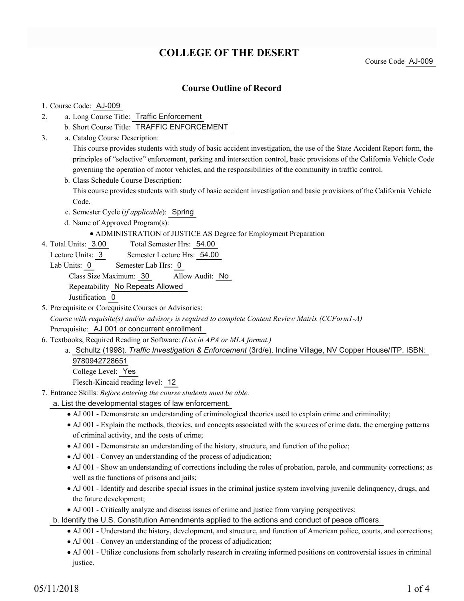# **COLLEGE OF THE DESERT**

Course Code AJ-009

## **Course Outline of Record**

### 1. Course Code: AJ-009

- a. Long Course Title: Traffic Enforcement 2.
	- b. Short Course Title: TRAFFIC ENFORCEMENT
- Catalog Course Description: a. 3.

This course provides students with study of basic accident investigation, the use of the State Accident Report form, the principles of "selective" enforcement, parking and intersection control, basic provisions of the California Vehicle Code governing the operation of motor vehicles, and the responsibilities of the community in traffic control.

- b. Class Schedule Course Description: This course provides students with study of basic accident investigation and basic provisions of the California Vehicle Code.
- c. Semester Cycle (*if applicable*): Spring
- d. Name of Approved Program(s):
	- ADMINISTRATION of JUSTICE AS Degree for Employment Preparation
- Total Semester Hrs: 54.00 4. Total Units: 3.00
	- Lecture Units: 3 Semester Lecture Hrs: 54.00
	- Lab Units: 0 Semester Lab Hrs: 0

Class Size Maximum: 30 Allow Audit: No

Repeatability No Repeats Allowed

Justification 0

5. Prerequisite or Corequisite Courses or Advisories: *Course with requisite(s) and/or advisory is required to complete Content Review Matrix (CCForm1-A)*

Prerequisite: AJ 001 or concurrent enrollment

- Textbooks, Required Reading or Software: *(List in APA or MLA format.)* 6.
	- a. Schultz (1998). *Traffic Investigation & Enforcement (3rd/e)*. Incline Village, NV Copper House/ITP. ISBN: 9780942728651 College Level: Yes

Flesch-Kincaid reading level: 12

- Entrance Skills: *Before entering the course students must be able:* 7.
	- a. List the developmental stages of law enforcement.
		- AJ 001 Demonstrate an understanding of criminological theories used to explain crime and criminality;
		- AJ 001 Explain the methods, theories, and concepts associated with the sources of crime data, the emerging patterns of criminal activity, and the costs of crime;
		- AJ 001 Demonstrate an understanding of the history, structure, and function of the police;
		- AJ 001 Convey an understanding of the process of adjudication;
		- AJ 001 Show an understanding of corrections including the roles of probation, parole, and community corrections; as well as the functions of prisons and jails;
		- AJ 001 Identify and describe special issues in the criminal justice system involving juvenile delinquency, drugs, and the future development;
		- AJ 001 Critically analyze and discuss issues of crime and justice from varying perspectives;
	- b. Identify the U.S. Constitution Amendments applied to the actions and conduct of peace officers.
		- AJ 001 Understand the history, development, and structure, and function of American police, courts, and corrections;
		- AJ 001 Convey an understanding of the process of adjudication;
		- AJ 001 Utilize conclusions from scholarly research in creating informed positions on controversial issues in criminal justice.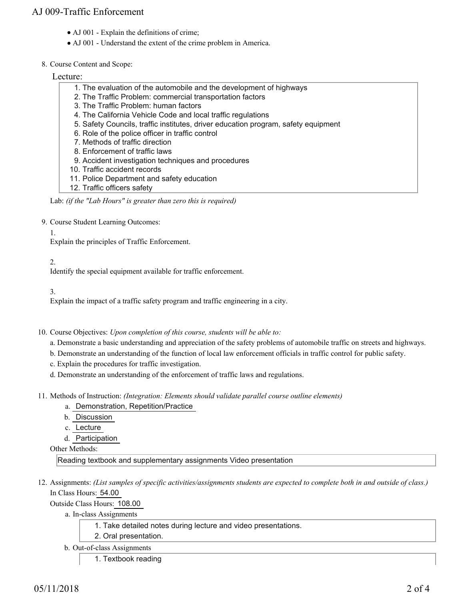## AJ 009-Traffic Enforcement

- AJ 001 Explain the definitions of crime;
- AJ 001 Understand the extent of the crime problem in America.

### 8. Course Content and Scope:

### Lecture:

- 1. The evaluation of the automobile and the development of highways
- 2. The Traffic Problem: commercial transportation factors
- 3. The Traffic Problem: human factors
- 4. The California Vehicle Code and local traffic regulations
- 5. Safety Councils, traffic institutes, driver education program, safety equipment
- 6. Role of the police officer in traffic control
- 7. Methods of traffic direction
- 8. Enforcement of traffic laws
- 9. Accident investigation techniques and procedures
- 10. Traffic accident records
- 11. Police Department and safety education
- 12. Traffic officers safety

#### Lab: *(if the "Lab Hours" is greater than zero this is required)*

- 9. Course Student Learning Outcomes:
	- 1.

Explain the principles of Traffic Enforcement.

2.

Identify the special equipment available for traffic enforcement.

3.

Explain the impact of a traffic safety program and traffic engineering in a city.

- 10. Course Objectives: Upon completion of this course, students will be able to:
	- a. Demonstrate a basic understanding and appreciation of the safety problems of automobile traffic on streets and highways.
	- b. Demonstrate an understanding of the function of local law enforcement officials in traffic control for public safety.
	- c. Explain the procedures for traffic investigation.
	- d. Demonstrate an understanding of the enforcement of traffic laws and regulations.
- Methods of Instruction: *(Integration: Elements should validate parallel course outline elements)* 11.
	- a. Demonstration, Repetition/Practice
	- b. Discussion
	- c. Lecture
	- d. Participation

Other Methods:

Reading textbook and supplementary assignments Video presentation

12. Assignments: (List samples of specific activities/assignments students are expected to complete both in and outside of class.) In Class Hours: 54.00

Outside Class Hours: 108.00

a. In-class Assignments

1. Take detailed notes during lecture and video presentations.

- 2. Oral presentation.
- b. Out-of-class Assignments
	- 1. Textbook reading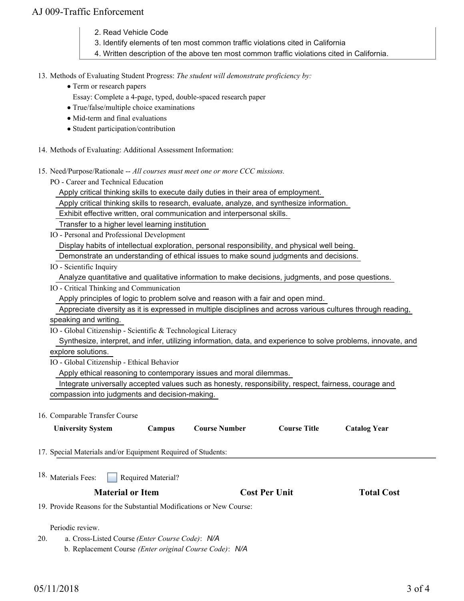## AJ 009-Traffic Enforcement

- 2. Read Vehicle Code
- 3. Identify elements of ten most common traffic violations cited in California
- 4. Written description of the above ten most common traffic violations cited in California.

### 13. Methods of Evaluating Student Progress: The student will demonstrate proficiency by:

- Term or research papers
	- Essay: Complete a 4-page, typed, double-spaced research paper
- True/false/multiple choice examinations
- Mid-term and final evaluations
- Student participation/contribution
- 14. Methods of Evaluating: Additional Assessment Information:
- 15. Need/Purpose/Rationale -- All courses must meet one or more CCC missions.

PO - Career and Technical Education

Apply critical thinking skills to execute daily duties in their area of employment.

Apply critical thinking skills to research, evaluate, analyze, and synthesize information.

Exhibit effective written, oral communication and interpersonal skills.

Transfer to a higher level learning institution

IO - Personal and Professional Development

Display habits of intellectual exploration, personal responsibility, and physical well being.

Demonstrate an understanding of ethical issues to make sound judgments and decisions.

IO - Scientific Inquiry

Analyze quantitative and qualitative information to make decisions, judgments, and pose questions.

IO - Critical Thinking and Communication

Apply principles of logic to problem solve and reason with a fair and open mind.

 Appreciate diversity as it is expressed in multiple disciplines and across various cultures through reading, speaking and writing.

IO - Global Citizenship - Scientific & Technological Literacy

 Synthesize, interpret, and infer, utilizing information, data, and experience to solve problems, innovate, and explore solutions.

IO - Global Citizenship - Ethical Behavior

Apply ethical reasoning to contemporary issues and moral dilemmas.

 Integrate universally accepted values such as honesty, responsibility, respect, fairness, courage and compassion into judgments and decision-making.

16. Comparable Transfer Course

| <b>University System</b>                                             | <b>Campus</b>      | <b>Course Number</b> | <b>Course Title</b>  | <b>Catalog Year</b> |  |
|----------------------------------------------------------------------|--------------------|----------------------|----------------------|---------------------|--|
| 17. Special Materials and/or Equipment Required of Students:         |                    |                      |                      |                     |  |
| <sup>18.</sup> Materials Fees:                                       | Required Material? |                      |                      |                     |  |
| <b>Material or Item</b>                                              |                    |                      | <b>Cost Per Unit</b> | <b>Total Cost</b>   |  |
| 19. Provide Reasons for the Substantial Modifications or New Course: |                    |                      |                      |                     |  |

Periodic review.

a. Cross-Listed Course *(Enter Course Code)*: *N/A* b. Replacement Course *(Enter original Course Code)*: *N/A* 20.